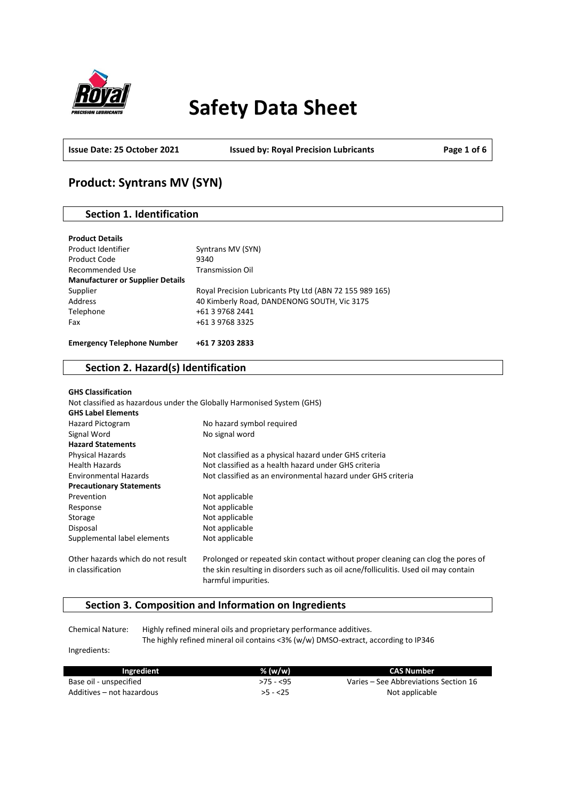

# **Safety Data Sheet**

**Issue Date: 25 October 2021 Issued by: Royal Precision Lubricants Page 1 of 6**

# **Product: Syntrans MV (SYN)**

# **Section 1. Identification**

| <b>Product Details</b>                  |                                                         |
|-----------------------------------------|---------------------------------------------------------|
| Product Identifier                      | Syntrans MV (SYN)                                       |
| Product Code                            | 9340                                                    |
| Recommended Use                         | <b>Transmission Oil</b>                                 |
| <b>Manufacturer or Supplier Details</b> |                                                         |
| Supplier                                | Royal Precision Lubricants Pty Ltd (ABN 72 155 989 165) |
| Address                                 | 40 Kimberly Road, DANDENONG SOUTH, Vic 3175             |
| Telephone                               | +61 3 9768 2441                                         |
| Fax                                     | +61 3 9768 3325                                         |
|                                         |                                                         |
| <b>Emergency Telephone Number</b>       | +61 7 3203 2833                                         |

### **Section 2. Hazard(s) Identification**

| <b>GHS Classification</b>                              |                                                                                                                                                                         |
|--------------------------------------------------------|-------------------------------------------------------------------------------------------------------------------------------------------------------------------------|
|                                                        | Not classified as hazardous under the Globally Harmonised System (GHS)                                                                                                  |
| <b>GHS Label Elements</b>                              |                                                                                                                                                                         |
| <b>Hazard Pictogram</b>                                | No hazard symbol required                                                                                                                                               |
| Signal Word                                            | No signal word                                                                                                                                                          |
| <b>Hazard Statements</b>                               |                                                                                                                                                                         |
| <b>Physical Hazards</b>                                | Not classified as a physical hazard under GHS criteria                                                                                                                  |
| <b>Health Hazards</b>                                  | Not classified as a health hazard under GHS criteria                                                                                                                    |
| <b>Environmental Hazards</b>                           | Not classified as an environmental hazard under GHS criteria                                                                                                            |
| <b>Precautionary Statements</b>                        |                                                                                                                                                                         |
| Prevention                                             | Not applicable                                                                                                                                                          |
| Response                                               | Not applicable                                                                                                                                                          |
| Storage                                                | Not applicable                                                                                                                                                          |
| Disposal                                               | Not applicable                                                                                                                                                          |
| Supplemental label elements                            | Not applicable                                                                                                                                                          |
| Other hazards which do not result<br>in classification | Prolonged or repeated skin contact without proper cleaning can clog the pores of<br>the skin resulting in disorders such as oil acne/folliculitis. Used oil may contain |
|                                                        | harmful impurities.                                                                                                                                                     |

# **Section 3. Composition and Information on Ingredients**

Chemical Nature: Highly refined mineral oils and proprietary performance additives. The highly refined mineral oil contains <3% (w/w) DMSO-extract, according to IP346

Ingredients:

| Ingredient                | % (w/w)    | CAS Number                            |
|---------------------------|------------|---------------------------------------|
| Base oil - unspecified    | $>75 - 55$ | Varies – See Abbreviations Section 16 |
| Additives – not hazardous | $>5 - 25$  | Not applicable                        |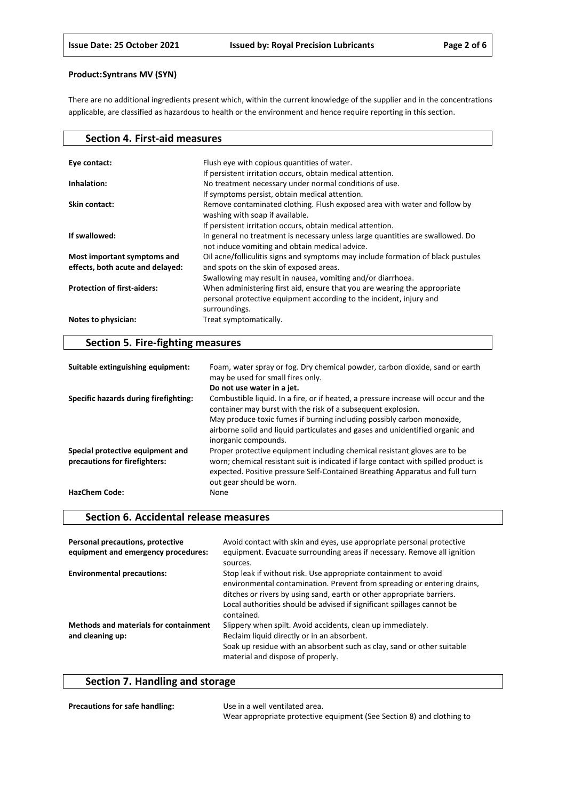There are no additional ingredients present which, within the current knowledge of the supplier and in the concentrations applicable, are classified as hazardous to health or the environment and hence require reporting in this section.

| <b>Section 4. First-aid measures</b>                            |                                                                                                                                                                   |
|-----------------------------------------------------------------|-------------------------------------------------------------------------------------------------------------------------------------------------------------------|
|                                                                 |                                                                                                                                                                   |
| Eye contact:                                                    | Flush eye with copious quantities of water.                                                                                                                       |
|                                                                 | If persistent irritation occurs, obtain medical attention.                                                                                                        |
| Inhalation:                                                     | No treatment necessary under normal conditions of use.                                                                                                            |
|                                                                 | If symptoms persist, obtain medical attention.                                                                                                                    |
| Skin contact:                                                   | Remove contaminated clothing. Flush exposed area with water and follow by<br>washing with soap if available.                                                      |
|                                                                 | If persistent irritation occurs, obtain medical attention.                                                                                                        |
| If swallowed:                                                   | In general no treatment is necessary unless large quantities are swallowed. Do<br>not induce vomiting and obtain medical advice.                                  |
| Most important symptoms and<br>effects, both acute and delayed: | Oil acne/folliculitis signs and symptoms may include formation of black pustules<br>and spots on the skin of exposed areas.                                       |
|                                                                 | Swallowing may result in nausea, vomiting and/or diarrhoea.                                                                                                       |
| <b>Protection of first-aiders:</b>                              | When administering first aid, ensure that you are wearing the appropriate<br>personal protective equipment according to the incident, injury and<br>surroundings. |
| Notes to physician:                                             | Treat symptomatically.                                                                                                                                            |

# **Section 5. Fire-fighting measures**

| Suitable extinguishing equipment:                                 | Foam, water spray or fog. Dry chemical powder, carbon dioxide, sand or earth<br>may be used for small fires only.                                                                                                                                                            |
|-------------------------------------------------------------------|------------------------------------------------------------------------------------------------------------------------------------------------------------------------------------------------------------------------------------------------------------------------------|
|                                                                   | Do not use water in a jet.                                                                                                                                                                                                                                                   |
| Specific hazards during firefighting:                             | Combustible liquid. In a fire, or if heated, a pressure increase will occur and the<br>container may burst with the risk of a subsequent explosion.                                                                                                                          |
|                                                                   | May produce toxic fumes if burning including possibly carbon monoxide,<br>airborne solid and liquid particulates and gases and unidentified organic and<br>inorganic compounds.                                                                                              |
| Special protective equipment and<br>precautions for firefighters: | Proper protective equipment including chemical resistant gloves are to be<br>worn; chemical resistant suit is indicated if large contact with spilled product is<br>expected. Positive pressure Self-Contained Breathing Apparatus and full turn<br>out gear should be worn. |
| <b>HazChem Code:</b>                                              | None                                                                                                                                                                                                                                                                         |

### **Section 6. Accidental release measures**

| Personal precautions, protective<br>equipment and emergency procedures: | Avoid contact with skin and eyes, use appropriate personal protective<br>equipment. Evacuate surrounding areas if necessary. Remove all ignition<br>sources.                                                                                                                                                |
|-------------------------------------------------------------------------|-------------------------------------------------------------------------------------------------------------------------------------------------------------------------------------------------------------------------------------------------------------------------------------------------------------|
| <b>Environmental precautions:</b>                                       | Stop leak if without risk. Use appropriate containment to avoid<br>environmental contamination. Prevent from spreading or entering drains,<br>ditches or rivers by using sand, earth or other appropriate barriers.<br>Local authorities should be advised if significant spillages cannot be<br>contained. |
| <b>Methods and materials for containment</b><br>and cleaning up:        | Slippery when spilt. Avoid accidents, clean up immediately.<br>Reclaim liquid directly or in an absorbent.<br>Soak up residue with an absorbent such as clay, sand or other suitable<br>material and dispose of properly.                                                                                   |

# **Section 7. Handling and storage**

| <b>Precautions for safe handling:</b> | Use in a well ventilated area.                                        |
|---------------------------------------|-----------------------------------------------------------------------|
|                                       | Wear appropriate protective equipment (See Section 8) and clothing to |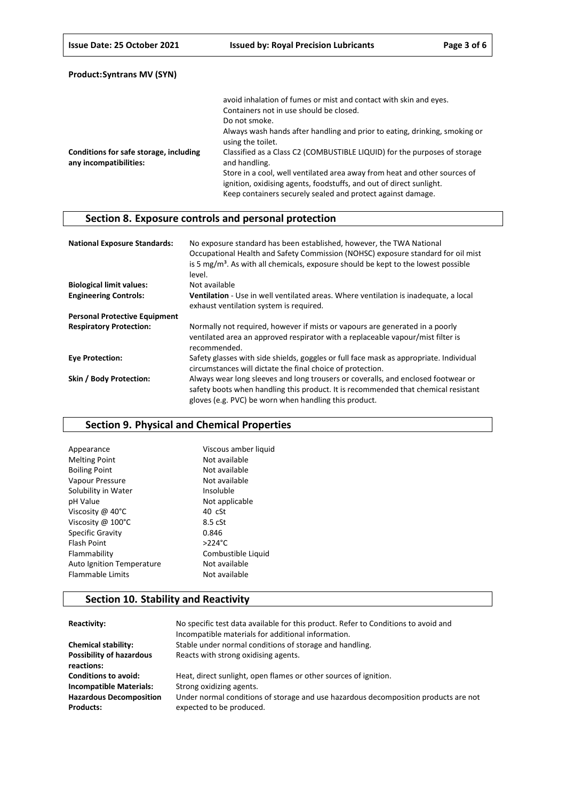|                                                                  | avoid inhalation of fumes or mist and contact with skin and eyes.                                                                                                                                               |
|------------------------------------------------------------------|-----------------------------------------------------------------------------------------------------------------------------------------------------------------------------------------------------------------|
|                                                                  | Containers not in use should be closed.                                                                                                                                                                         |
|                                                                  | Do not smoke.                                                                                                                                                                                                   |
|                                                                  | Always wash hands after handling and prior to eating, drinking, smoking or<br>using the toilet.                                                                                                                 |
| Conditions for safe storage, including<br>any incompatibilities: | Classified as a Class C2 (COMBUSTIBLE LIQUID) for the purposes of storage<br>and handling.                                                                                                                      |
|                                                                  | Store in a cool, well ventilated area away from heat and other sources of<br>ignition, oxidising agents, foodstuffs, and out of direct sunlight.<br>Keep containers securely sealed and protect against damage. |

# **Section 8. Exposure controls and personal protection**

| <b>National Exposure Standards:</b>  | No exposure standard has been established, however, the TWA National<br>Occupational Health and Safety Commission (NOHSC) exposure standard for oil mist<br>is 5 $mg/m3$ . As with all chemicals, exposure should be kept to the lowest possible<br>level. |
|--------------------------------------|------------------------------------------------------------------------------------------------------------------------------------------------------------------------------------------------------------------------------------------------------------|
| <b>Biological limit values:</b>      | Not available                                                                                                                                                                                                                                              |
| <b>Engineering Controls:</b>         | Ventilation - Use in well ventilated areas. Where ventilation is inadequate, a local<br>exhaust ventilation system is required.                                                                                                                            |
| <b>Personal Protective Equipment</b> |                                                                                                                                                                                                                                                            |
| <b>Respiratory Protection:</b>       | Normally not required, however if mists or vapours are generated in a poorly<br>ventilated area an approved respirator with a replaceable vapour/mist filter is<br>recommended.                                                                            |
| <b>Eve Protection:</b>               | Safety glasses with side shields, goggles or full face mask as appropriate. Individual<br>circumstances will dictate the final choice of protection.                                                                                                       |
| Skin / Body Protection:              | Always wear long sleeves and long trousers or coveralls, and enclosed footwear or<br>safety boots when handling this product. It is recommended that chemical resistant<br>gloves (e.g. PVC) be worn when handling this product.                           |

# **Section 9. Physical and Chemical Properties**

| Viscous amber liquid |
|----------------------|
| Not available        |
| Not available        |
| Not available        |
| Insoluble            |
| Not applicable       |
| $40 \text{ cSt}$     |
| 8.5 cSt              |
| 0.846                |
| $>224$ °C            |
| Combustible Liquid   |
| Not available        |
| Not available        |
|                      |

# **Section 10. Stability and Reactivity**

| Reactivity:                                        | No specific test data available for this product. Refer to Conditions to avoid and<br>Incompatible materials for additional information. |
|----------------------------------------------------|------------------------------------------------------------------------------------------------------------------------------------------|
| <b>Chemical stability:</b>                         | Stable under normal conditions of storage and handling.                                                                                  |
| <b>Possibility of hazardous</b><br>reactions:      | Reacts with strong oxidising agents.                                                                                                     |
| <b>Conditions to avoid:</b>                        | Heat, direct sunlight, open flames or other sources of ignition.                                                                         |
| <b>Incompatible Materials:</b>                     | Strong oxidizing agents.                                                                                                                 |
| <b>Hazardous Decomposition</b><br><b>Products:</b> | Under normal conditions of storage and use hazardous decomposition products are not<br>expected to be produced.                          |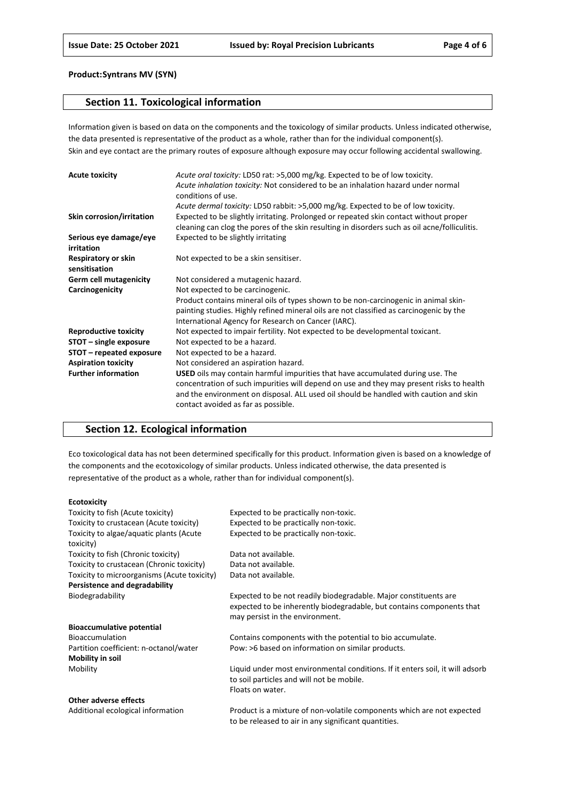### **Section 11. Toxicological information**

Information given is based on data on the components and the toxicology of similar products. Unless indicated otherwise, the data presented is representative of the product as a whole, rather than for the individual component(s). Skin and eye contact are the primary routes of exposure although exposure may occur following accidental swallowing.

| <b>Acute toxicity</b>                | Acute oral toxicity: LD50 rat: >5,000 mg/kg. Expected to be of low toxicity.<br>Acute inhalation toxicity: Not considered to be an inhalation hazard under normal<br>conditions of use.                                                                                                                           |
|--------------------------------------|-------------------------------------------------------------------------------------------------------------------------------------------------------------------------------------------------------------------------------------------------------------------------------------------------------------------|
|                                      | Acute dermal toxicity: LD50 rabbit: >5,000 mg/kg. Expected to be of low toxicity.                                                                                                                                                                                                                                 |
| Skin corrosion/irritation            | Expected to be slightly irritating. Prolonged or repeated skin contact without proper<br>cleaning can clog the pores of the skin resulting in disorders such as oil acne/folliculitis.                                                                                                                            |
| Serious eye damage/eye<br>irritation | Expected to be slightly irritating                                                                                                                                                                                                                                                                                |
| Respiratory or skin<br>sensitisation | Not expected to be a skin sensitiser.                                                                                                                                                                                                                                                                             |
| <b>Germ cell mutagenicity</b>        | Not considered a mutagenic hazard.                                                                                                                                                                                                                                                                                |
| Carcinogenicity                      | Not expected to be carcinogenic.                                                                                                                                                                                                                                                                                  |
|                                      | Product contains mineral oils of types shown to be non-carcinogenic in animal skin-<br>painting studies. Highly refined mineral oils are not classified as carcinogenic by the<br>International Agency for Research on Cancer (IARC).                                                                             |
| <b>Reproductive toxicity</b>         | Not expected to impair fertility. Not expected to be developmental toxicant.                                                                                                                                                                                                                                      |
| STOT - single exposure               | Not expected to be a hazard.                                                                                                                                                                                                                                                                                      |
| STOT – repeated exposure             | Not expected to be a hazard.                                                                                                                                                                                                                                                                                      |
| <b>Aspiration toxicity</b>           | Not considered an aspiration hazard.                                                                                                                                                                                                                                                                              |
| <b>Further information</b>           | <b>USED</b> oils may contain harmful impurities that have accumulated during use. The<br>concentration of such impurities will depend on use and they may present risks to health<br>and the environment on disposal. ALL used oil should be handled with caution and skin<br>contact avoided as far as possible. |

# **Section 12. Ecological information**

Eco toxicological data has not been determined specifically for this product. Information given is based on a knowledge of the components and the ecotoxicology of similar products. Unless indicated otherwise, the data presented is representative of the product as a whole, rather than for individual component(s).

#### **Ecotoxicity**

| Toxicity to fish (Acute toxicity)           | Expected to be practically non-toxic.                                         |
|---------------------------------------------|-------------------------------------------------------------------------------|
| Toxicity to crustacean (Acute toxicity)     | Expected to be practically non-toxic.                                         |
| Toxicity to algae/aquatic plants (Acute     | Expected to be practically non-toxic.                                         |
| toxicity)                                   |                                                                               |
| Toxicity to fish (Chronic toxicity)         | Data not available.                                                           |
| Toxicity to crustacean (Chronic toxicity)   | Data not available.                                                           |
| Toxicity to microorganisms (Acute toxicity) | Data not available.                                                           |
| Persistence and degradability               |                                                                               |
| Biodegradability                            | Expected to be not readily biodegradable. Major constituents are              |
|                                             | expected to be inherently biodegradable, but contains components that         |
|                                             | may persist in the environment.                                               |
| <b>Bioaccumulative potential</b>            |                                                                               |
| Bioaccumulation                             | Contains components with the potential to bio accumulate.                     |
| Partition coefficient: n-octanol/water      | Pow: >6 based on information on similar products.                             |
| <b>Mobility in soil</b>                     |                                                                               |
| Mobility                                    | Liquid under most environmental conditions. If it enters soil, it will adsorb |
|                                             | to soil particles and will not be mobile.                                     |
|                                             | Floats on water.                                                              |
| Other adverse effects                       |                                                                               |
| Additional ecological information           | Product is a mixture of non-volatile components which are not expected        |

to be released to air in any significant quantities.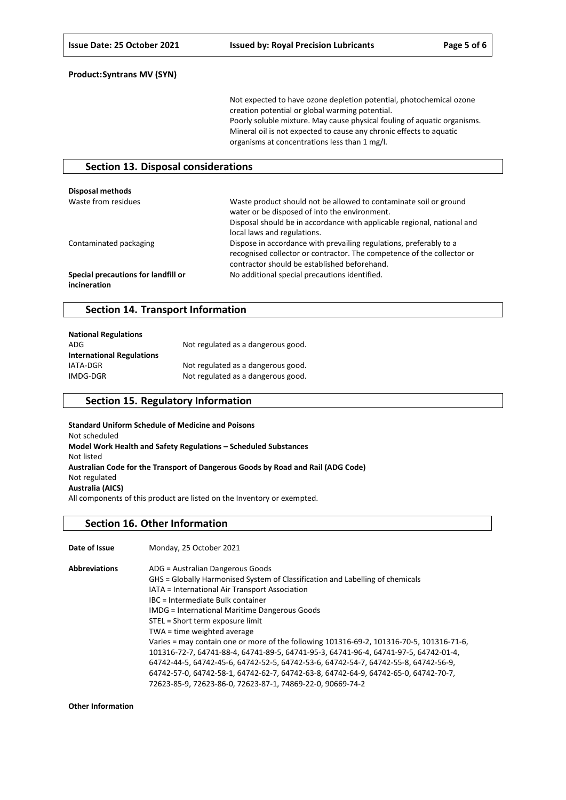Not expected to have ozone depletion potential, photochemical ozone creation potential or global warming potential. Poorly soluble mixture. May cause physical fouling of aquatic organisms. Mineral oil is not expected to cause any chronic effects to aquatic organisms at concentrations less than 1 mg/l.

### **Section 13. Disposal considerations**

| Disposal methods                                    |                                                                                                                                                                                                                              |
|-----------------------------------------------------|------------------------------------------------------------------------------------------------------------------------------------------------------------------------------------------------------------------------------|
| Waste from residues                                 | Waste product should not be allowed to contaminate soil or ground<br>water or be disposed of into the environment.<br>Disposal should be in accordance with applicable regional, national and<br>local laws and regulations. |
| Contaminated packaging                              | Dispose in accordance with prevailing regulations, preferably to a<br>recognised collector or contractor. The competence of the collector or<br>contractor should be established beforehand.                                 |
| Special precautions for landfill or<br>incineration | No additional special precautions identified.                                                                                                                                                                                |

### **Section 14. Transport Information**

| <b>National Regulations</b>      |                                    |
|----------------------------------|------------------------------------|
| ADG                              | Not regulated as a dangerous good. |
| <b>International Regulations</b> |                                    |
| IATA-DGR                         | Not regulated as a dangerous good. |
| IMDG-DGR                         | Not regulated as a dangerous good. |

### **Section 15. Regulatory Information**

**Standard Uniform Schedule of Medicine and Poisons** Not scheduled **Model Work Health and Safety Regulations – Scheduled Substances** Not listed **Australian Code for the Transport of Dangerous Goods by Road and Rail (ADG Code)** Not regulated **Australia (AICS)** All components of this product are listed on the Inventory or exempted.

#### **Section 16. Other Information**

| Date of Issue        | Monday, 25 October 2021                                                                  |
|----------------------|------------------------------------------------------------------------------------------|
| <b>Abbreviations</b> | ADG = Australian Dangerous Goods                                                         |
|                      | GHS = Globally Harmonised System of Classification and Labelling of chemicals            |
|                      | IATA = International Air Transport Association                                           |
|                      | IBC = Intermediate Bulk container                                                        |
|                      | <b>IMDG</b> = International Maritime Dangerous Goods                                     |
|                      | STEL = Short term exposure limit                                                         |
|                      | TWA = time weighted average                                                              |
|                      | Varies = may contain one or more of the following 101316-69-2, 101316-70-5, 101316-71-6, |
|                      | 101316-72-7, 64741-88-4, 64741-89-5, 64741-95-3, 64741-96-4, 64741-97-5, 64742-01-4,     |
|                      | 64742-44-5, 64742-45-6, 64742-52-5, 64742-53-6, 64742-54-7, 64742-55-8, 64742-56-9,      |
|                      | 64742-57-0, 64742-58-1, 64742-62-7, 64742-63-8, 64742-64-9, 64742-65-0, 64742-70-7,      |
|                      | 72623-85-9, 72623-86-0, 72623-87-1, 74869-22-0, 90669-74-2                               |

**Other Information**